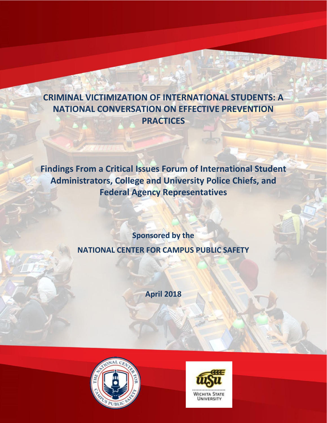# **CRIMINAL VICTIMIZATION OF INTERNATIONAL STUDENTS: A NATIONAL CONVERSATION ON EFFECTIVE PREVENTION PRACTICES**

**Findings From a Critical Issues Forum of International Student Administrators, College and University Police Chiefs, and Federal Agency Representatives**

> **Sponsored by the NATIONAL CENTER FOR CAMPUS PUBLIC SAFETY**

> > **April 2018**



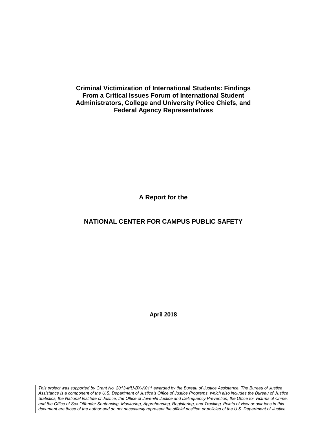**Criminal Victimization of International Students: Findings From a Critical Issues Forum of International Student Administrators, College and University Police Chiefs, and Federal Agency Representatives**

**A Report for the**

## **NATIONAL CENTER FOR CAMPUS PUBLIC SAFETY**

**April 2018**

*This project was supported by Grant No. 2013-MU-BX-K011 awarded by the Bureau of Justice Assistance. The Bureau of Justice Assistance is a component of the U.S. Department of Justice's Office of Justice Programs, which also includes the Bureau of Justice Statistics, the National Institute of Justice, the Office of Juvenile Justice and Delinquency Prevention, the Office for Victims of Crime, and the Office of Sex Offender Sentencing, Monitoring, Apprehending, Registering, and Tracking. Points of view or opinions in this document are those of the author and do not necessarily represent the official position or policies of the U.S. Department of Justice.*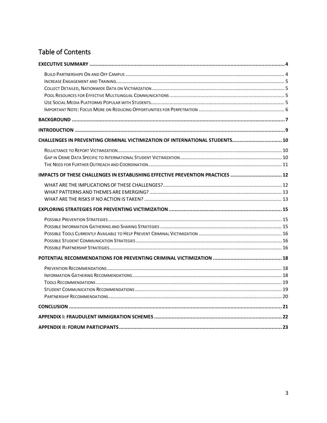# Table of Contents

| CHALLENGES IN PREVENTING CRIMINAL VICTIMIZATION OF INTERNATIONAL STUDENTS 10   |  |
|--------------------------------------------------------------------------------|--|
|                                                                                |  |
|                                                                                |  |
|                                                                                |  |
| IMPACTS OF THESE CHALLENGES IN ESTABLISHING EFFECTIVE PREVENTION PRACTICES  12 |  |
|                                                                                |  |
|                                                                                |  |
|                                                                                |  |
|                                                                                |  |
|                                                                                |  |
|                                                                                |  |
|                                                                                |  |
|                                                                                |  |
|                                                                                |  |
|                                                                                |  |
|                                                                                |  |
|                                                                                |  |
|                                                                                |  |
|                                                                                |  |
|                                                                                |  |
|                                                                                |  |
|                                                                                |  |
|                                                                                |  |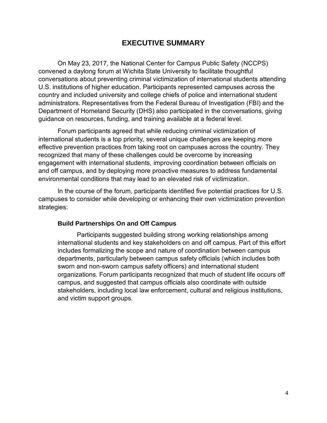## **EXECUTIVE SUMMARY**

<span id="page-3-0"></span>On May 23, 2017, the National Center for Campus Public Safety (NCCPS) convened a daylong forum at Wichita State University to facilitate thoughtful conversations about preventing criminal victimization of international students attending U.S. institutions of higher education. Participants represented campuses across the country and included university and college chiefs of police and international student administrators. Representatives from the Federal Bureau of Investigation (FBI) and the Department of Homeland Security (DHS) also participated in the conversations, giving guidance on resources, funding, and training available at a federal level.

Forum participants agreed that while reducing criminal victimization of international students is a top priority, several unique challenges are keeping more effective prevention practices from taking root on campuses across the country. They recognized that many of these challenges could be overcome by increasing engagement with international students, improving coordination between officials on and off campus, and by deploying more proactive measures to address fundamental environmental conditions that may lead to an elevated risk of victimization.

In the course of the forum, participants identified five potential practices for U.S. campuses to consider while developing or enhancing their own victimization prevention strategies:

#### <span id="page-3-1"></span>**Build Partnerships On and Off Campus**

Participants suggested building strong working relationships among international students and key stakeholders on and off campus. Part of this effort includes formalizing the scope and nature of coordination between campus departments, particularly between campus safety officials (which includes both sworn and non-sworn campus safety officers) and international student organizations. Forum participants recognized that much of student life occurs off campus, and suggested that campus officials also coordinate with outside stakeholders, including local law enforcement, cultural and religious institutions, and victim support groups.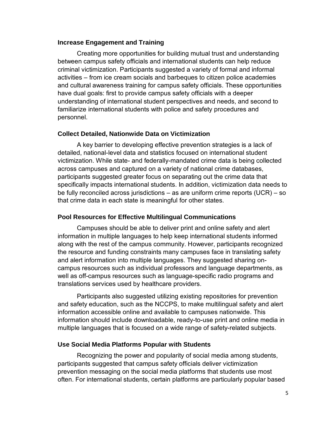#### <span id="page-4-0"></span>**Increase Engagement and Training**

Creating more opportunities for building mutual trust and understanding between campus safety officials and international students can help reduce criminal victimization. Participants suggested a variety of formal and informal activities – from ice cream socials and barbeques to citizen police academies and cultural awareness training for campus safety officials. These opportunities have dual goals: first to provide campus safety officials with a deeper understanding of international student perspectives and needs, and second to familiarize international students with police and safety procedures and personnel.

#### <span id="page-4-1"></span>**Collect Detailed, Nationwide Data on Victimization**

A key barrier to developing effective prevention strategies is a lack of detailed, national-level data and statistics focused on international student victimization. While state- and federally-mandated crime data is being collected across campuses and captured on a variety of national crime databases, participants suggested greater focus on separating out the crime data that specifically impacts international students. In addition, victimization data needs to be fully reconciled across jurisdictions – as are uniform crime reports (UCR) – so that crime data in each state is meaningful for other states.

#### <span id="page-4-2"></span>**Pool Resources for Effective Multilingual Communications**

Campuses should be able to deliver print and online safety and alert information in multiple languages to help keep international students informed along with the rest of the campus community. However, participants recognized the resource and funding constraints many campuses face in translating safety and alert information into multiple languages. They suggested sharing oncampus resources such as individual professors and language departments, as well as off-campus resources such as language-specific radio programs and translations services used by healthcare providers.

Participants also suggested utilizing existing repositories for prevention and safety education, such as the NCCPS, to make multilingual safety and alert information accessible online and available to campuses nationwide. This information should include downloadable, ready-to-use print and online media in multiple languages that is focused on a wide range of safety-related subjects.

#### <span id="page-4-3"></span>**Use Social Media Platforms Popular with Students**

Recognizing the power and popularity of social media among students, participants suggested that campus safety officials deliver victimization prevention messaging on the social media platforms that students use most often. For international students, certain platforms are particularly popular based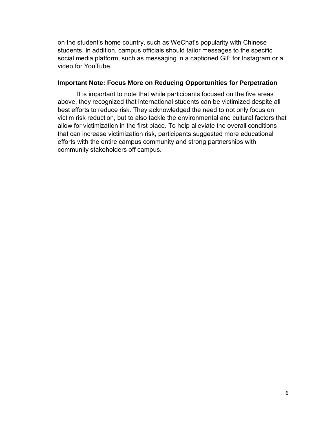on the student's home country, such as WeChat's popularity with Chinese students. In addition, campus officials should tailor messages to the specific social media platform, such as messaging in a captioned GIF for Instagram or a video for YouTube.

#### <span id="page-5-0"></span>**Important Note: Focus More on Reducing Opportunities for Perpetration**

It is important to note that while participants focused on the five areas above, they recognized that international students can be victimized despite all best efforts to reduce risk. They acknowledged the need to not only focus on victim risk reduction, but to also tackle the environmental and cultural factors that allow for victimization in the first place. To help alleviate the overall conditions that can increase victimization risk, participants suggested more educational efforts with the entire campus community and strong partnerships with community stakeholders off campus.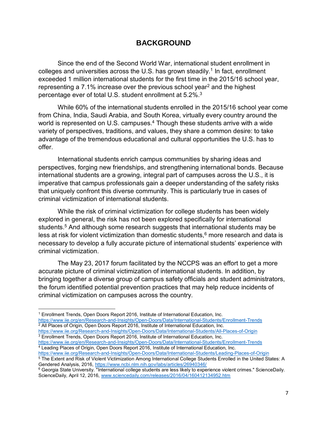## **BACKGROUND**

<span id="page-6-0"></span>Since the end of the Second World War, international student enrollment in colleges and universities across the U.S. has grown steadily. $^1$  In fact, enrollment exceeded 1 million international students for the first time in the 2015/16 school year, representing a  $7.1\%$  increase over the previous school year<sup>2</sup> and the highest percentage ever of total U.S. student enrollment at 5.2%. $^{\rm 3}$ 

While 60% of the international students enrolled in the 2015/16 school year come from China, India, Saudi Arabia, and South Korea, virtually every country around the world is represented on U.S. campuses.<sup>4</sup> Though these students arrive with a wide variety of perspectives, traditions, and values, they share a common desire: to take advantage of the tremendous educational and cultural opportunities the U.S. has to offer.

International students enrich campus communities by sharing ideas and perspectives, forging new friendships, and strengthening international bonds. Because international students are a growing, integral part of campuses across the U.S., it is imperative that campus professionals gain a deeper understanding of the safety risks that uniquely confront this diverse community. This is particularly true in cases of criminal victimization of international students.

While the risk of criminal victimization for college students has been widely explored in general, the risk has not been explored specifically for international students.<sup>5</sup> And although some research suggests that international students may be less at risk for violent victimization than domestic students, $6$  more research and data is necessary to develop a fully accurate picture of international students' experience with criminal victimization.

The May 23, 2017 forum facilitated by the NCCPS was an effort to get a more accurate picture of criminal victimization of international students. In addition, by bringing together a diverse group of campus safety officials and student administrators, the forum identified potential prevention practices that may help reduce incidents of criminal victimization on campuses across the country.

 $\overline{a}$ 

<https://www.iie.org/Research-and-Insights/Open-Doors/Data/International-Students/All-Places-of-Origin> <sup>3</sup> Enrollment Trends, Open Doors Report 2016, Institute of International Education, Inc.

<sup>&</sup>lt;sup>1</sup> Enrollment Trends, Open Doors Report 2016, Institute of International Education, Inc. <https://www.iie.org/en/Research-and-Insights/Open-Doors/Data/International-Students/Enrollment-Trends> <sup>2</sup> All Places of Origin, Open Doors Report 2016, Institute of International Education, Inc.

<https://www.iie.org/en/Research-and-Insights/Open-Doors/Data/International-Students/Enrollment-Trends> <sup>4</sup> Leading Places of Origin, Open Doors Report 2016, Institute of International Education, Inc.

<https://www.iie.org/Research-and-Insights/Open-Doors/Data/International-Students/Leading-Places-of-Origin>

<sup>&</sup>lt;sup>5</sup> The Extent and Risk of Violent Victimization Among International College Students Enrolled in the United States: A Gendered Analysis, 2016,<https://www.ncbi.nlm.nih.gov/labs/articles/26940346/>

<sup>&</sup>lt;sup>6</sup> Georgia State University. "International college students are less likely to experience violent crimes." ScienceDaily. ScienceDaily, April 12, 2016, [www.sciencedaily.com/releases/2016/04/160412134952.htm](http://www.sciencedaily.com/releases/2016/04/160412134952.htm)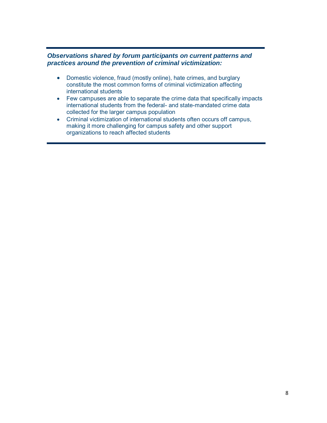#### *Observations shared by forum participants on current patterns and practices around the prevention of criminal victimization:*

- Domestic violence, fraud (mostly online), hate crimes, and burglary constitute the most common forms of criminal victimization affecting international students
- Few campuses are able to separate the crime data that specifically impacts international students from the federal- and state-mandated crime data collected for the larger campus population
- Criminal victimization of international students often occurs off campus, making it more challenging for campus safety and other support organizations to reach affected students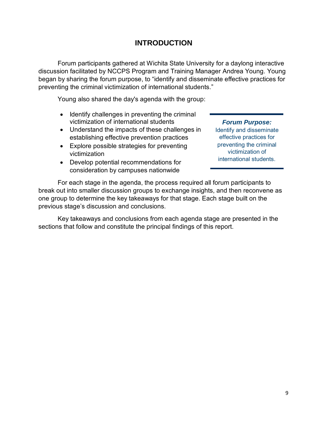# **INTRODUCTION**

<span id="page-8-0"></span>Forum participants gathered at Wichita State University for a daylong interactive discussion facilitated by NCCPS Program and Training Manager Andrea Young. Young began by sharing the forum purpose, to "identify and disseminate effective practices for preventing the criminal victimization of international students."

Young also shared the day's agenda with the group:

- Identify challenges in preventing the criminal victimization of international students
- Understand the impacts of these challenges in establishing effective prevention practices
- Explore possible strategies for preventing victimization
- Develop potential recommendations for consideration by campuses nationwide

### *Forum Purpose:*

Identify and disseminate effective practices for preventing the criminal victimization of international students.

For each stage in the agenda, the process required all forum participants to break out into smaller discussion groups to exchange insights, and then reconvene as one group to determine the key takeaways for that stage. Each stage built on the previous stage's discussion and conclusions.

Key takeaways and conclusions from each agenda stage are presented in the sections that follow and constitute the principal findings of this report.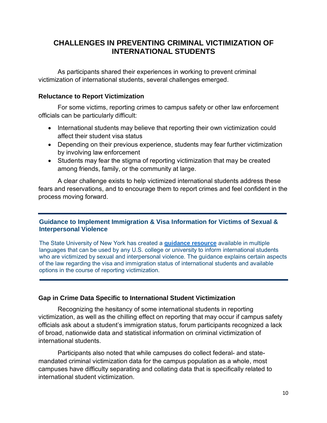# <span id="page-9-0"></span>**CHALLENGES IN PREVENTING CRIMINAL VICTIMIZATION OF INTERNATIONAL STUDENTS**

As participants shared their experiences in working to prevent criminal victimization of international students, several challenges emerged.

#### <span id="page-9-1"></span>**Reluctance to Report Victimization**

For some victims, reporting crimes to campus safety or other law enforcement officials can be particularly difficult:

- International students may believe that reporting their own victimization could affect their student visa status
- Depending on their previous experience, students may fear further victimization by involving law enforcement
- Students may fear the stigma of reporting victimization that may be created among friends, family, or the community at large.

A clear challenge exists to help victimized international students address these fears and reservations, and to encourage them to report crimes and feel confident in the process moving forward.

### **Guidance to Implement Immigration & Visa Information for Victims of Sexual & Interpersonal Violence**

The State University of New York has created a **[guidance resource](https://www.suny.edu/violence-response/visa-and-immigration-resource/#Resource)** available in multiple languages that can be used by any U.S. college or university to inform international students who are victimized by sexual and interpersonal violence. The guidance explains certain aspects of the law regarding the visa and immigration status of international students and available options in the course of reporting victimization.

### <span id="page-9-2"></span>**Gap in Crime Data Specific to International Student Victimization**

Recognizing the hesitancy of some international students in reporting victimization, as well as the chilling effect on reporting that may occur if campus safety officials ask about a student's immigration status, forum participants recognized a lack of broad, nationwide data and statistical information on criminal victimization of international students.

Participants also noted that while campuses do collect federal- and statemandated criminal victimization data for the campus population as a whole, most campuses have difficulty separating and collating data that is specifically related to international student victimization.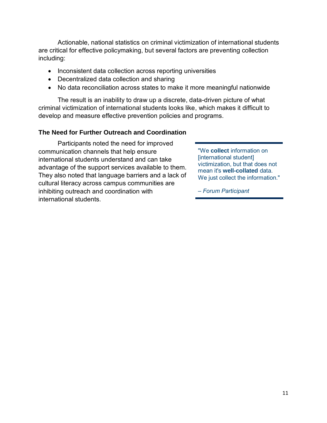Actionable, national statistics on criminal victimization of international students are critical for effective policymaking, but several factors are preventing collection including:

- Inconsistent data collection across reporting universities
- Decentralized data collection and sharing
- No data reconciliation across states to make it more meaningful nationwide

The result is an inability to draw up a discrete, data-driven picture of what criminal victimization of international students looks like, which makes it difficult to develop and measure effective prevention policies and programs.

#### <span id="page-10-0"></span>**The Need for Further Outreach and Coordination**

Participants noted the need for improved communication channels that help ensure international students understand and can take advantage of the support services available to them. They also noted that language barriers and a lack of cultural literacy across campus communities are inhibiting outreach and coordination with international students.

"We **collect** information on [international student] victimization, but that does not mean it's **well-collated** data. We just collect the information."

*– Forum Participant*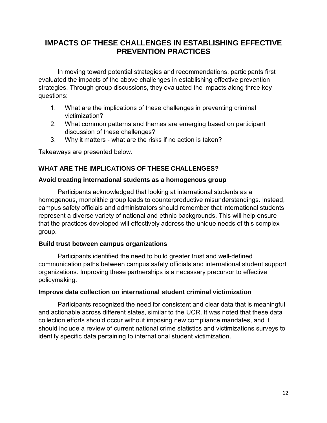# <span id="page-11-0"></span>**IMPACTS OF THESE CHALLENGES IN ESTABLISHING EFFECTIVE PREVENTION PRACTICES**

In moving toward potential strategies and recommendations, participants first evaluated the impacts of the above challenges in establishing effective prevention strategies. Through group discussions, they evaluated the impacts along three key questions:

- 1. What are the implications of these challenges in preventing criminal victimization?
- 2. What common patterns and themes are emerging based on participant discussion of these challenges?
- 3. Why it matters what are the risks if no action is taken?

Takeaways are presented below.

## <span id="page-11-1"></span>**WHAT ARE THE IMPLICATIONS OF THESE CHALLENGES?**

#### **Avoid treating international students as a homogenous group**

Participants acknowledged that looking at international students as a homogenous, monolithic group leads to counterproductive misunderstandings. Instead, campus safety officials and administrators should remember that international students represent a diverse variety of national and ethnic backgrounds. This will help ensure that the practices developed will effectively address the unique needs of this complex group.

#### **Build trust between campus organizations**

Participants identified the need to build greater trust and well-defined communication paths between campus safety officials and international student support organizations. Improving these partnerships is a necessary precursor to effective policymaking.

#### **Improve data collection on international student criminal victimization**

Participants recognized the need for consistent and clear data that is meaningful and actionable across different states, similar to the UCR. It was noted that these data collection efforts should occur without imposing new compliance mandates, and it should include a review of current national crime statistics and victimizations surveys to identify specific data pertaining to international student victimization.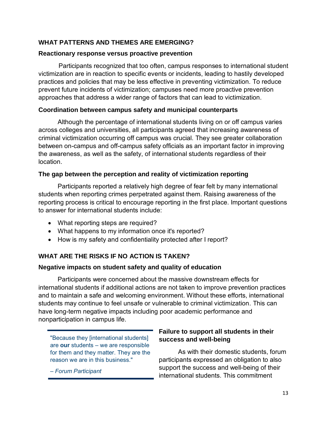## <span id="page-12-0"></span>**WHAT PATTERNS AND THEMES ARE EMERGING?**

#### **Reactionary response versus proactive prevention**

Participants recognized that too often, campus responses to international student victimization are in reaction to specific events or incidents, leading to hastily developed practices and policies that may be less effective in preventing victimization. To reduce prevent future incidents of victimization; campuses need more proactive prevention approaches that address a wider range of factors that can lead to victimization.

### **Coordination between campus safety and municipal counterparts**

Although the percentage of international students living on or off campus varies across colleges and universities, all participants agreed that increasing awareness of criminal victimization occurring off campus was crucial. They see greater collaboration between on-campus and off-campus safety officials as an important factor in improving the awareness, as well as the safety, of international students regardless of their location.

## **The gap between the perception and reality of victimization reporting**

Participants reported a relatively high degree of fear felt by many international students when reporting crimes perpetrated against them. Raising awareness of the reporting process is critical to encourage reporting in the first place. Important questions to answer for international students include:

- What reporting steps are required?
- What happens to my information once it's reported?
- How is my safety and confidentiality protected after I report?

## <span id="page-12-1"></span>**WHAT ARE THE RISKS IF NO ACTION IS TAKEN?**

### **Negative impacts on student safety and quality of education**

Participants were concerned about the massive downstream effects for international students if additional actions are not taken to improve prevention practices and to maintain a safe and welcoming environment. Without these efforts, international students may continue to feel unsafe or vulnerable to criminal victimization. This can have long-term negative impacts including poor academic performance and nonparticipation in campus life.

"Because they [international students] are **our** students – we are responsible for them and they matter. They are the reason we are in this business."

*– Forum Participant*

## **Failure to support all students in their success and well-being**

As with their domestic students, forum participants expressed an obligation to also support the success and well-being of their international students. This commitment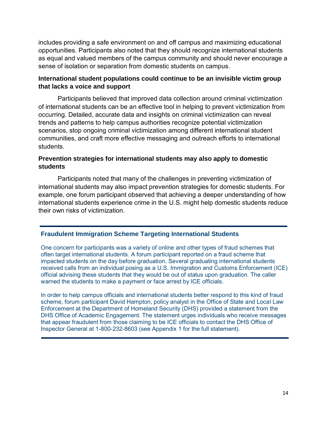includes providing a safe environment on and off campus and maximizing educational opportunities. Participants also noted that they should recognize international students as equal and valued members of the campus community and should never encourage a sense of isolation or separation from domestic students on campus.

### **International student populations could continue to be an invisible victim group that lacks a voice and support**

Participants believed that improved data collection around criminal victimization of international students can be an effective tool in helping to prevent victimization from occurring. Detailed, accurate data and insights on criminal victimization can reveal trends and patterns to help campus authorities recognize potential victimization scenarios, stop ongoing criminal victimization among different international student communities, and craft more effective messaging and outreach efforts to international students.

#### **Prevention strategies for international students may also apply to domestic students**

Participants noted that many of the challenges in preventing victimization of international students may also impact prevention strategies for domestic students. For example, one forum participant observed that achieving a deeper understanding of how international students experience crime in the U.S. might help domestic students reduce their own risks of victimization.

#### **Fraudulent Immigration Scheme Targeting International Students**

One concern for participants was a variety of online and other types of fraud schemes that often target international students. A forum participant reported on a fraud scheme that impacted students on the day before graduation. Several graduating international students received calls from an individual posing as a U.S. Immigration and Customs Enforcement (ICE) official advising these students that they would be out of status upon graduation. The caller warned the students to make a payment or face arrest by ICE officials.

In order to help campus officials and international students better respond to this kind of fraud scheme, forum participant David Hampton, policy analyst in the Office of State and Local Law Enforcement at the Department of Homeland Security (DHS) provided a statement from the DHS Office of Academic Engagement. The statement urges individuals who receive messages that appear fraudulent from those claiming to be ICE officials to contact the DHS Office of Inspector General at 1-800-232-8603 (see Appendix 1 for the full statement).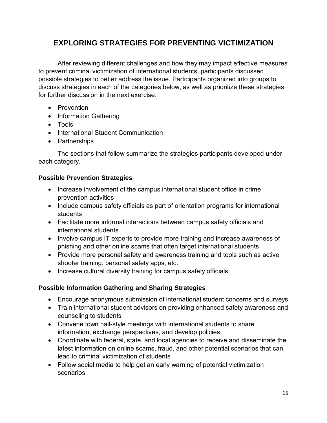# <span id="page-14-0"></span>**EXPLORING STRATEGIES FOR PREVENTING VICTIMIZATION**

After reviewing different challenges and how they may impact effective measures to prevent criminal victimization of international students, participants discussed possible strategies to better address the issue. Participants organized into groups to discuss strategies in each of the categories below, as well as prioritize these strategies for further discussion in the next exercise:

- Prevention
- Information Gathering
- Tools
- International Student Communication
- Partnerships

The sections that follow summarize the strategies participants developed under each category.

### <span id="page-14-1"></span>**Possible Prevention Strategies**

- Increase involvement of the campus international student office in crime prevention activities
- Include campus safety officials as part of orientation programs for international students
- Facilitate more informal interactions between campus safety officials and international students
- Involve campus IT experts to provide more training and increase awareness of phishing and other online scams that often target international students
- Provide more personal safety and awareness training and tools such as active shooter training, personal safety apps, etc.
- Increase cultural diversity training for campus safety officials

## <span id="page-14-2"></span>**Possible Information Gathering and Sharing Strategies**

- Encourage anonymous submission of international student concerns and surveys
- Train international student advisors on providing enhanced safety awareness and counseling to students
- Convene town hall-style meetings with international students to share information, exchange perspectives, and develop policies
- Coordinate with federal, state, and local agencies to receive and disseminate the latest information on online scams, fraud, and other potential scenarios that can lead to criminal victimization of students
- Follow social media to help get an early warning of potential victimization scenarios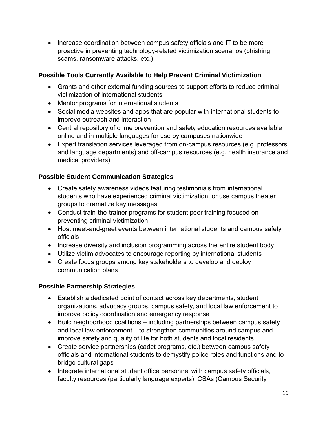• Increase coordination between campus safety officials and IT to be more proactive in preventing technology-related victimization scenarios (phishing scams, ransomware attacks, etc.)

## <span id="page-15-0"></span>**Possible Tools Currently Available to Help Prevent Criminal Victimization**

- Grants and other external funding sources to support efforts to reduce criminal victimization of international students
- Mentor programs for international students
- Social media websites and apps that are popular with international students to improve outreach and interaction
- Central repository of crime prevention and safety education resources available online and in multiple languages for use by campuses nationwide
- Expert translation services leveraged from on-campus resources (e.g. professors and language departments) and off-campus resources (e.g. health insurance and medical providers)

## <span id="page-15-1"></span>**Possible Student Communication Strategies**

- Create safety awareness videos featuring testimonials from international students who have experienced criminal victimization, or use campus theater groups to dramatize key messages
- Conduct train-the-trainer programs for student peer training focused on preventing criminal victimization
- Host meet-and-greet events between international students and campus safety officials
- Increase diversity and inclusion programming across the entire student body
- Utilize victim advocates to encourage reporting by international students
- Create focus groups among key stakeholders to develop and deploy communication plans

## <span id="page-15-2"></span>**Possible Partnership Strategies**

- Establish a dedicated point of contact across key departments, student organizations, advocacy groups, campus safety, and local law enforcement to improve policy coordination and emergency response
- Build neighborhood coalitions including partnerships between campus safety and local law enforcement – to strengthen communities around campus and improve safety and quality of life for both students and local residents
- Create service partnerships (cadet programs, etc.) between campus safety officials and international students to demystify police roles and functions and to bridge cultural gaps
- Integrate international student office personnel with campus safety officials, faculty resources (particularly language experts), CSAs (Campus Security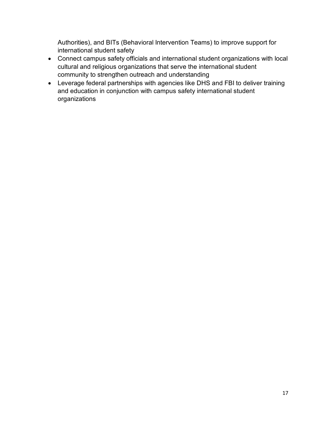Authorities), and BITs (Behavioral Intervention Teams) to improve support for international student safety

- Connect campus safety officials and international student organizations with local cultural and religious organizations that serve the international student community to strengthen outreach and understanding
- Leverage federal partnerships with agencies like DHS and FBI to deliver training and education in conjunction with campus safety international student organizations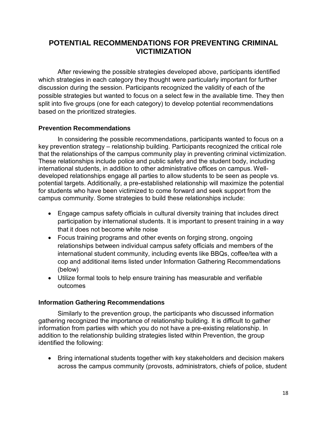# <span id="page-17-0"></span>**POTENTIAL RECOMMENDATIONS FOR PREVENTING CRIMINAL VICTIMIZATION**

After reviewing the possible strategies developed above, participants identified which strategies in each category they thought were particularly important for further discussion during the session. Participants recognized the validity of each of the possible strategies but wanted to focus on a select few in the available time. They then split into five groups (one for each category) to develop potential recommendations based on the prioritized strategies.

### <span id="page-17-1"></span>**Prevention Recommendations**

In considering the possible recommendations, participants wanted to focus on a key prevention strategy – relationship building. Participants recognized the critical role that the relationships of the campus community play in preventing criminal victimization. These relationships include police and public safety and the student body, including international students, in addition to other administrative offices on campus. Welldeveloped relationships engage all parties to allow students to be seen as people vs. potential targets. Additionally, a pre-established relationship will maximize the potential for students who have been victimized to come forward and seek support from the campus community. Some strategies to build these relationships include:

- Engage campus safety officials in cultural diversity training that includes direct participation by international students. It is important to present training in a way that it does not become white noise
- Focus training programs and other events on forging strong, ongoing relationships between individual campus safety officials and members of the international student community, including events like BBQs, coffee/tea with a cop and additional items listed under Information Gathering Recommendations (below)
- Utilize formal tools to help ensure training has measurable and verifiable outcomes

#### <span id="page-17-2"></span>**Information Gathering Recommendations**

Similarly to the prevention group, the participants who discussed information gathering recognized the importance of relationship building. It is difficult to gather information from parties with which you do not have a pre-existing relationship. In addition to the relationship building strategies listed within Prevention, the group identified the following:

• Bring international students together with key stakeholders and decision makers across the campus community (provosts, administrators, chiefs of police, student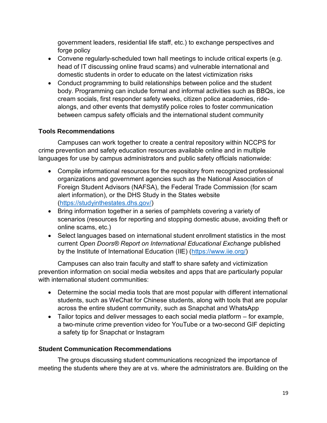government leaders, residential life staff, etc.) to exchange perspectives and forge policy

- Convene regularly-scheduled town hall meetings to include critical experts (e.g. head of IT discussing online fraud scams) and vulnerable international and domestic students in order to educate on the latest victimization risks
- Conduct programming to build relationships between police and the student body. Programming can include formal and informal activities such as BBQs, ice cream socials, first responder safety weeks, citizen police academies, ridealongs, and other events that demystify police roles to foster communication between campus safety officials and the international student community

## <span id="page-18-0"></span>**Tools Recommendations**

Campuses can work together to create a central repository within NCCPS for crime prevention and safety education resources available online and in multiple languages for use by campus administrators and public safety officials nationwide:

- Compile informational resources for the repository from recognized professional organizations and government agencies such as the National Association of Foreign Student Advisors (NAFSA), the Federal Trade Commission (for scam alert information), or the DHS Study in the States website [\(https://studyinthestates.dhs.gov/\)](https://studyinthestates.dhs.gov/)
- Bring information together in a series of pamphlets covering a variety of scenarios (resources for reporting and stopping domestic abuse, avoiding theft or online scams, etc.)
- Select languages based on international student enrollment statistics in the most current *Open Doors® Report on International Educational Exchange* published by the Institute of International Education (IIE) [\(https://www.iie.org/\)](https://www.iie.org/)

Campuses can also train faculty and staff to share safety and victimization prevention information on social media websites and apps that are particularly popular with international student communities:

- Determine the social media tools that are most popular with different international students, such as WeChat for Chinese students, along with tools that are popular across the entire student community, such as Snapchat and WhatsApp
- Tailor topics and deliver messages to each social media platform for example, a two-minute crime prevention video for YouTube or a two-second GIF depicting a safety tip for Snapchat or Instagram

### <span id="page-18-1"></span>**Student Communication Recommendations**

The groups discussing student communications recognized the importance of meeting the students where they are at vs. where the administrators are. Building on the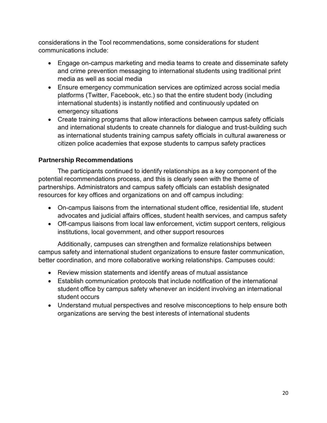considerations in the Tool recommendations, some considerations for student communications include:

- Engage on-campus marketing and media teams to create and disseminate safety and crime prevention messaging to international students using traditional print media as well as social media
- Ensure emergency communication services are optimized across social media platforms (Twitter, Facebook, etc.) so that the entire student body (including international students) is instantly notified and continuously updated on emergency situations
- Create training programs that allow interactions between campus safety officials and international students to create channels for dialogue and trust-building such as international students training campus safety officials in cultural awareness or citizen police academies that expose students to campus safety practices

## <span id="page-19-0"></span>**Partnership Recommendations**

The participants continued to identify relationships as a key component of the potential recommendations process, and this is clearly seen with the theme of partnerships. Administrators and campus safety officials can establish designated resources for key offices and organizations on and off campus including:

- On-campus liaisons from the international student office, residential life, student advocates and judicial affairs offices, student health services, and campus safety
- Off-campus liaisons from local law enforcement, victim support centers, religious institutions, local government, and other support resources

Additionally, campuses can strengthen and formalize relationships between campus safety and international student organizations to ensure faster communication, better coordination, and more collaborative working relationships. Campuses could:

- Review mission statements and identify areas of mutual assistance
- Establish communication protocols that include notification of the international student office by campus safety whenever an incident involving an international student occurs
- Understand mutual perspectives and resolve misconceptions to help ensure both organizations are serving the best interests of international students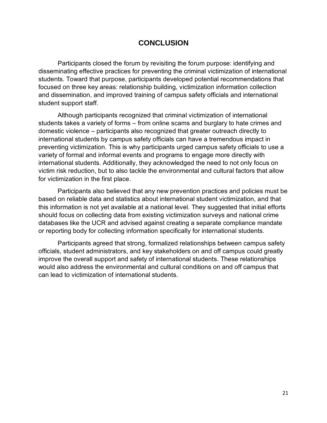## **CONCLUSION**

<span id="page-20-0"></span>Participants closed the forum by revisiting the forum purpose: identifying and disseminating effective practices for preventing the criminal victimization of international students. Toward that purpose, participants developed potential recommendations that focused on three key areas: relationship building, victimization information collection and dissemination, and improved training of campus safety officials and international student support staff.

Although participants recognized that criminal victimization of international students takes a variety of forms – from online scams and burglary to hate crimes and domestic violence – participants also recognized that greater outreach directly to international students by campus safety officials can have a tremendous impact in preventing victimization. This is why participants urged campus safety officials to use a variety of formal and informal events and programs to engage more directly with international students. Additionally, they acknowledged the need to not only focus on victim risk reduction, but to also tackle the environmental and cultural factors that allow for victimization in the first place.

Participants also believed that any new prevention practices and policies must be based on reliable data and statistics about international student victimization, and that this information is not yet available at a national level. They suggested that initial efforts should focus on collecting data from existing victimization surveys and national crime databases like the UCR and advised against creating a separate compliance mandate or reporting body for collecting information specifically for international students.

Participants agreed that strong, formalized relationships between campus safety officials, student administrators, and key stakeholders on and off campus could greatly improve the overall support and safety of international students. These relationships would also address the environmental and cultural conditions on and off campus that can lead to victimization of international students.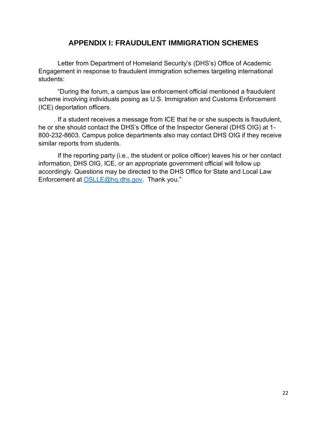## **APPENDIX I: FRAUDULENT IMMIGRATION SCHEMES**

<span id="page-21-0"></span>Letter from Department of Homeland Security's (DHS's) Office of Academic Engagement in response to fraudulent immigration schemes targeting international students:

"During the forum, a campus law enforcement official mentioned a fraudulent scheme involving individuals posing as U.S. Immigration and Customs Enforcement (ICE) deportation officers.

If a student receives a message from ICE that he or she suspects is fraudulent, he or she should contact the DHS's Office of the Inspector General (DHS OIG) at 1- 800-232-8603. Campus police departments also may contact DHS OIG if they receive similar reports from students.

If the reporting party (i.e., the student or police officer) leaves his or her contact information, DHS OIG, ICE, or an appropriate government official will follow up accordingly. Questions may be directed to the DHS Office for State and Local Law Enforcement at [OSLLE@hq.dhs.gov.](mailto:OSLLE@hq.dhs.gov) Thank you."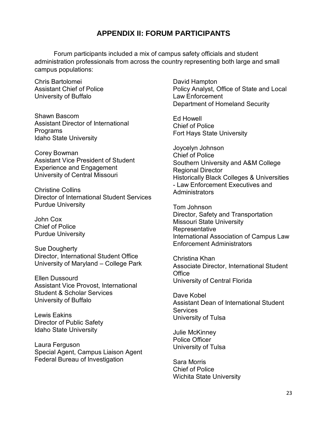## **APPENDIX II: FORUM PARTICIPANTS**

<span id="page-22-0"></span>Forum participants included a mix of campus safety officials and student administration professionals from across the country representing both large and small campus populations:

Chris Bartolomei Assistant Chief of Police University of Buffalo

Shawn Bascom Assistant Director of International **Programs** Idaho State University

Corey Bowman Assistant Vice President of Student Experience and Engagement University of Central Missouri

Christine Collins Director of International Student Services Purdue University

John Cox Chief of Police Purdue University

Sue Dougherty Director, International Student Office University of Maryland – College Park

Ellen Dussourd Assistant Vice Provost, International Student & Scholar Services University of Buffalo

Lewis Eakins Director of Public Safety Idaho State University

Laura Ferguson Special Agent, Campus Liaison Agent Federal Bureau of Investigation

David Hampton Policy Analyst, Office of State and Local Law Enforcement Department of Homeland Security

Ed Howell Chief of Police Fort Hays State University

Joycelyn Johnson Chief of Police Southern University and A&M College Regional Director Historically Black Colleges & Universities - Law Enforcement Executives and **Administrators** 

Tom Johnson Director, Safety and Transportation Missouri State University **Representative** International Association of Campus Law Enforcement Administrators

Christina Khan Associate Director, International Student **Office** University of Central Florida

Dave Kobel Assistant Dean of International Student **Services** University of Tulsa

Julie McKinney Police Officer University of Tulsa

Sara Morris Chief of Police Wichita State University